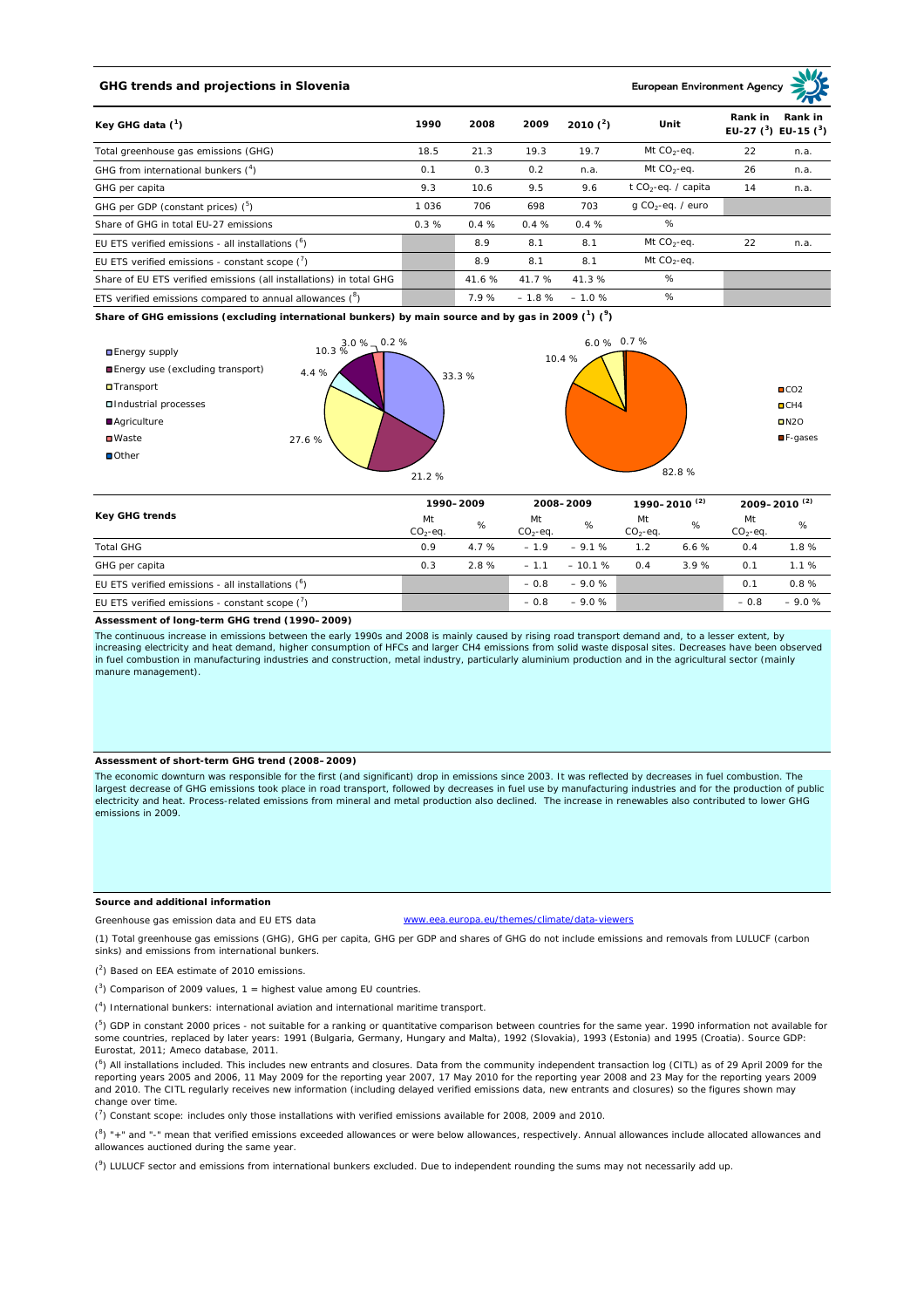# **GHG trends and projections in Slovenia**

**European Environment Ag** 

| Key GHG data $(^1)$                                                 |         | 2008  | 2009    | 2010 $(^{2})$ | Unit                            | Rank in | Rank in<br>EU-27 $(^{3})$ EU-15 $(^{3})$ |
|---------------------------------------------------------------------|---------|-------|---------|---------------|---------------------------------|---------|------------------------------------------|
| Total greenhouse gas emissions (GHG)                                | 18.5    | 21.3  | 19.3    | 19.7          | Mt $CO2$ -eq.                   | 22      | n.a.                                     |
| GHG from international bunkers $(^4)$                               | 0.1     | 0.3   | 0.2     | n.a.          | Mt $CO_2$ -eq.                  | 26      | n.a.                                     |
| GHG per capita                                                      | 9.3     | 10.6  | 9.5     | 9.6           | t CO <sub>2</sub> -eq. / capita | 14      | n.a.                                     |
| GHG per GDP (constant prices) ( <sup>5</sup> )                      | 1 0 3 6 | 706   | 698     | 703           | $q$ CO <sub>2</sub> -eq. / euro |         |                                          |
| Share of GHG in total EU-27 emissions                               | 0.3%    | 0.4%  | 0.4%    | 0.4%          | $\%$                            |         |                                          |
| EU ETS verified emissions - all installations ( <sup>o</sup> )      |         | 8.9   | 8.1     | 8.1           | Mt $CO_2$ -eq.                  | 22      | n.a.                                     |
| EU ETS verified emissions - constant scope $\binom{7}{1}$           |         | 8.9   | 8.1     | 8.1           | Mt $CO_2$ -eq.                  |         |                                          |
| Share of EU ETS verified emissions (all installations) in total GHG |         | 41.6% | 41.7 %  | 41.3%         | %                               |         |                                          |
| ETS verified emissions compared to annual allowances $(^8)$         |         | 7.9%  | $-1.8%$ | $-1.0%$       | %                               |         |                                          |

**Share of GHG emissions (excluding international bunkers) by main source and by gas in 2009 (<sup>1</sup> ) (<sup>9</sup> )**



| Key GHG trends                                       |                 | 1990-2009 |                  | 2008-2009 |                 | 1990–2010 <sup>(2)</sup> |                 | 2009-2010 <sup>(2)</sup> |  |
|------------------------------------------------------|-----------------|-----------|------------------|-----------|-----------------|--------------------------|-----------------|--------------------------|--|
|                                                      | Mt<br>$CO2-eq.$ | %         | Mt<br>$CO2-ea$ . | %         | Mt<br>$CO2-eq.$ | %                        | Mt<br>$CO2-eq.$ | %                        |  |
| <b>Total GHG</b>                                     | 0.9             | 4.7%      | $-1.9$           | $-9.1%$   | 1.2             | 6.6%                     | 0.4             | 1.8%                     |  |
| GHG per capita                                       | 0.3             | 2.8%      | $-1.1$           | $-10.1%$  | 0.4             | 3.9%                     | 0.1             | 1.1%                     |  |
| EU ETS verified emissions - all installations $(^6)$ |                 |           | $-0.8$           | $-9.0%$   |                 |                          | 0.1             | 0.8%                     |  |
| EU ETS verified emissions - constant scope $(7)$     |                 |           | $-0.8$           | $-9.0%$   |                 |                          | $-0.8$          | $-9.0%$                  |  |

#### **Assessment of long-term GHG trend (1990–2009)**

The continuous increase in emissions between the early 1990s and 2008 is mainly caused by rising road transport demand and, to a lesser extent, by increasing electricity and heat demand, higher consumption of HFCs and larger CH4 emissions from solid waste disposal sites. Decreases have been observed in fuel combustion in manufacturing industries and construction, metal industry, particularly aluminium production and in the agricultural sector (mainly manure management).

## **Assessment of short-term GHG trend (2008–2009)**

The economic downturn was responsible for the first (and significant) drop in emissions since 2003. It was reflected by decreases in fuel combustion. The largest decrease of GHG emissions took place in road transport, followed by decreases in fuel use by manufacturing industries and for the production of public electricity and heat. Process-related emissions from mineral and metal production also declined. The increase in renewables also contributed to lower GHG emissions in 2009.

## **Source and additional information**

www.eea.europa.eu/themes/climate/data-viewers

(1) Total greenhouse gas emissions (GHG), GHG per capita, GHG per GDP and shares of GHG do not include emissions and removals from LULUCF (carbon sinks) and emissions from international bunkers.

( 2 ) Based on EEA estimate of 2010 emissions.

Greenhouse gas emission data and EU ETS data

 $(3)$  Comparison of 2009 values, 1 = highest value among EU countries.

( 4 ) International bunkers: international aviation and international maritime transport.

 $(^{5})$  GDP in constant 2000 prices - not suitable for a ranking or quantitative comparison between countries for the same year. 1990 information not available for some countries, replaced by later years: 1991 (Bulgaria, Germany, Hungary and Malta), 1992 (Slovakia), 1993 (Estonia) and 1995 (Croatia). Source GDP: Eurostat, 2011; Ameco database, 2011.

(<sup>6</sup>) All installations included. This includes new entrants and closures. Data from the community independent transaction log (CITL) as of 29 April 2009 for the<br>reporting years 2005 and 2006, 11 May 2009 for the reporting and 2010. The CITL regularly receives new information (including delayed verified emissions data, new entrants and closures) so the figures shown may change over time.

 $\binom{7}{1}$  Constant scope: includes only those installations with verified emissions available for 2008, 2009 and 2010.

 $(^{8}$ ) " $+$ " and "-" mean that verified emissions exceeded allowances or were below allowances, respectively. Annual allowances include allocated allowances and allowances auctioned during the same year.

 $(2)$  LULUCF sector and emissions from international bunkers excluded. Due to independent rounding the sums may not necessarily add up.